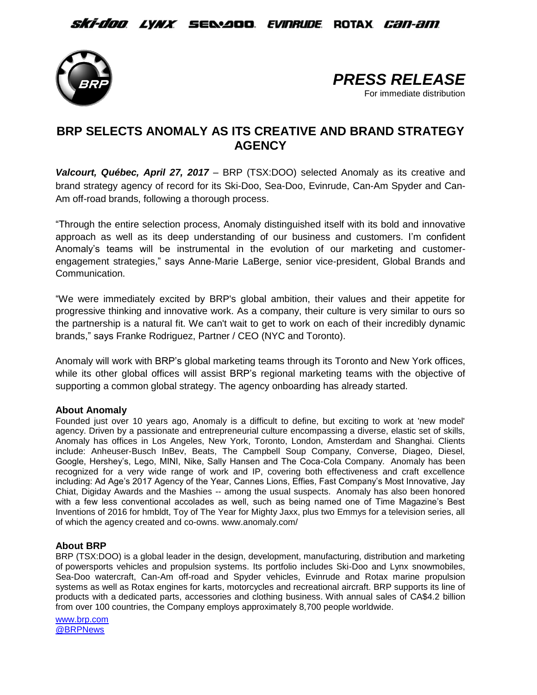*Ski-doo lynx s*e&aoo *evinrude* rotax *can-am* 





## **BRP SELECTS ANOMALY AS ITS CREATIVE AND BRAND STRATEGY AGENCY**

*Valcourt, Québec, April 27, 2017* – BRP (TSX:DOO) selected Anomaly as its creative and brand strategy agency of record for its Ski-Doo, Sea-Doo, Evinrude, Can-Am Spyder and Can-Am off-road brands, following a thorough process.

"Through the entire selection process, Anomaly distinguished itself with its bold and innovative approach as well as its deep understanding of our business and customers. I'm confident Anomaly's teams will be instrumental in the evolution of our marketing and customerengagement strategies," says Anne-Marie LaBerge, senior vice-president, Global Brands and Communication.

"We were immediately excited by BRP's global ambition, their values and their appetite for progressive thinking and innovative work. As a company, their culture is very similar to ours so the partnership is a natural fit. We can't wait to get to work on each of their incredibly dynamic brands," says Franke Rodriguez, Partner / CEO (NYC and Toronto).

Anomaly will work with BRP's global marketing teams through its Toronto and New York offices, while its other global offices will assist BRP's regional marketing teams with the objective of supporting a common global strategy. The agency onboarding has already started.

## **About Anomaly**

Founded just over 10 years ago, Anomaly is a difficult to define, but exciting to work at 'new model' agency. Driven by a passionate and entrepreneurial culture encompassing a diverse, elastic set of skills, Anomaly has offices in Los Angeles, New York, Toronto, London, Amsterdam and Shanghai. Clients include: Anheuser-Busch InBev, Beats, The Campbell Soup Company, Converse, Diageo, Diesel, Google, Hershey's, Lego, MINI, Nike, Sally Hansen and The Coca-Cola Company. Anomaly has been recognized for a very wide range of work and IP, covering both effectiveness and craft excellence including: Ad Age's 2017 Agency of the Year, Cannes Lions, Effies, Fast Company's Most Innovative, Jay Chiat, Digiday Awards and the Mashies -- among the usual suspects. Anomaly has also been honored with a few less conventional accolades as well, such as being named one of Time Magazine's Best Inventions of 2016 for hmbldt, Toy of The Year for Mighty Jaxx, plus two Emmys for a television series, all of which the agency created and co-owns. [www.anomaly.com/](http://www.anomaly.com/)

## **About BRP**

BRP (TSX:DOO) is a global leader in the design, development, manufacturing, distribution and marketing of powersports vehicles and propulsion systems. Its portfolio includes Ski-Doo and Lynx snowmobiles, Sea-Doo watercraft, Can-Am off-road and Spyder vehicles, Evinrude and Rotax marine propulsion systems as well as Rotax engines for karts, motorcycles and recreational aircraft. BRP supports its line of products with a dedicated parts, accessories and clothing business. With annual sales of CA\$4.2 billion from over 100 countries, the Company employs approximately 8,700 people worldwide.

[www.brp.com](http://www.brp.com/) [@BRPNews](https://twitter.com/BRPnews)